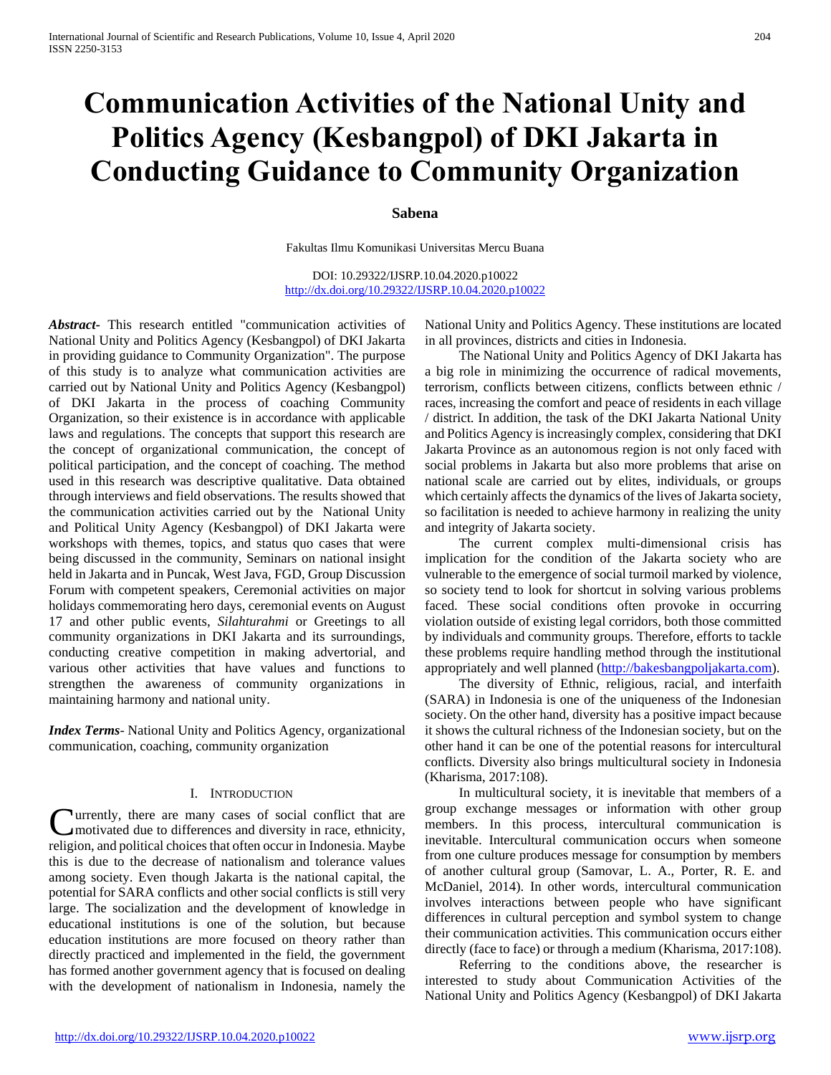# **Communication Activities of the National Unity and Politics Agency (Kesbangpol) of DKI Jakarta in Conducting Guidance to Community Organization**

#### **Sabena**

Fakultas Ilmu Komunikasi Universitas Mercu Buana

DOI: 10.29322/IJSRP.10.04.2020.p10022 <http://dx.doi.org/10.29322/IJSRP.10.04.2020.p10022>

*Abstract***-** This research entitled "communication activities of National Unity and Politics Agency (Kesbangpol) of DKI Jakarta in providing guidance to Community Organization". The purpose of this study is to analyze what communication activities are carried out by National Unity and Politics Agency (Kesbangpol) of DKI Jakarta in the process of coaching Community Organization, so their existence is in accordance with applicable laws and regulations. The concepts that support this research are the concept of organizational communication, the concept of political participation, and the concept of coaching. The method used in this research was descriptive qualitative. Data obtained through interviews and field observations. The results showed that the communication activities carried out by the National Unity and Political Unity Agency (Kesbangpol) of DKI Jakarta were workshops with themes, topics, and status quo cases that were being discussed in the community, Seminars on national insight held in Jakarta and in Puncak, West Java, FGD, Group Discussion Forum with competent speakers, Ceremonial activities on major holidays commemorating hero days, ceremonial events on August 17 and other public events, *Silahturahmi* or Greetings to all community organizations in DKI Jakarta and its surroundings, conducting creative competition in making advertorial, and various other activities that have values and functions to strengthen the awareness of community organizations in maintaining harmony and national unity.

*Index Terms*- National Unity and Politics Agency, organizational communication, coaching, community organization

#### I. INTRODUCTION

**C**urrently, there are many cases of social conflict that are motivated due to differences and diversity in race, ethnicity, motivated due to differences and diversity in race, ethnicity, religion, and political choices that often occur in Indonesia. Maybe this is due to the decrease of nationalism and tolerance values among society. Even though Jakarta is the national capital, the potential for SARA conflicts and other social conflicts is still very large. The socialization and the development of knowledge in educational institutions is one of the solution, but because education institutions are more focused on theory rather than directly practiced and implemented in the field, the government has formed another government agency that is focused on dealing with the development of nationalism in Indonesia, namely the

National Unity and Politics Agency. These institutions are located in all provinces, districts and cities in Indonesia.

 The National Unity and Politics Agency of DKI Jakarta has a big role in minimizing the occurrence of radical movements, terrorism, conflicts between citizens, conflicts between ethnic / races, increasing the comfort and peace of residents in each village / district. In addition, the task of the DKI Jakarta National Unity and Politics Agency is increasingly complex, considering that DKI Jakarta Province as an autonomous region is not only faced with social problems in Jakarta but also more problems that arise on national scale are carried out by elites, individuals, or groups which certainly affects the dynamics of the lives of Jakarta society, so facilitation is needed to achieve harmony in realizing the unity and integrity of Jakarta society.

 The current complex multi-dimensional crisis has implication for the condition of the Jakarta society who are vulnerable to the emergence of social turmoil marked by violence, so society tend to look for shortcut in solving various problems faced. These social conditions often provoke in occurring violation outside of existing legal corridors, both those committed by individuals and community groups. Therefore, efforts to tackle these problems require handling method through the institutional appropriately and well planned [\(http://bakesbangpoljakarta.com\)](http://bakesbangpoljakarta.com/).

 The diversity of Ethnic, religious, racial, and interfaith (SARA) in Indonesia is one of the uniqueness of the Indonesian society. On the other hand, diversity has a positive impact because it shows the cultural richness of the Indonesian society, but on the other hand it can be one of the potential reasons for intercultural conflicts. Diversity also brings multicultural society in Indonesia (Kharisma, 2017:108).

 In multicultural society, it is inevitable that members of a group exchange messages or information with other group members. In this process, intercultural communication is inevitable. Intercultural communication occurs when someone from one culture produces message for consumption by members of another cultural group (Samovar, L. A., Porter, R. E. and McDaniel, 2014). In other words, intercultural communication involves interactions between people who have significant differences in cultural perception and symbol system to change their communication activities. This communication occurs either directly (face to face) or through a medium (Kharisma, 2017:108).

 Referring to the conditions above, the researcher is interested to study about Communication Activities of the National Unity and Politics Agency (Kesbangpol) of DKI Jakarta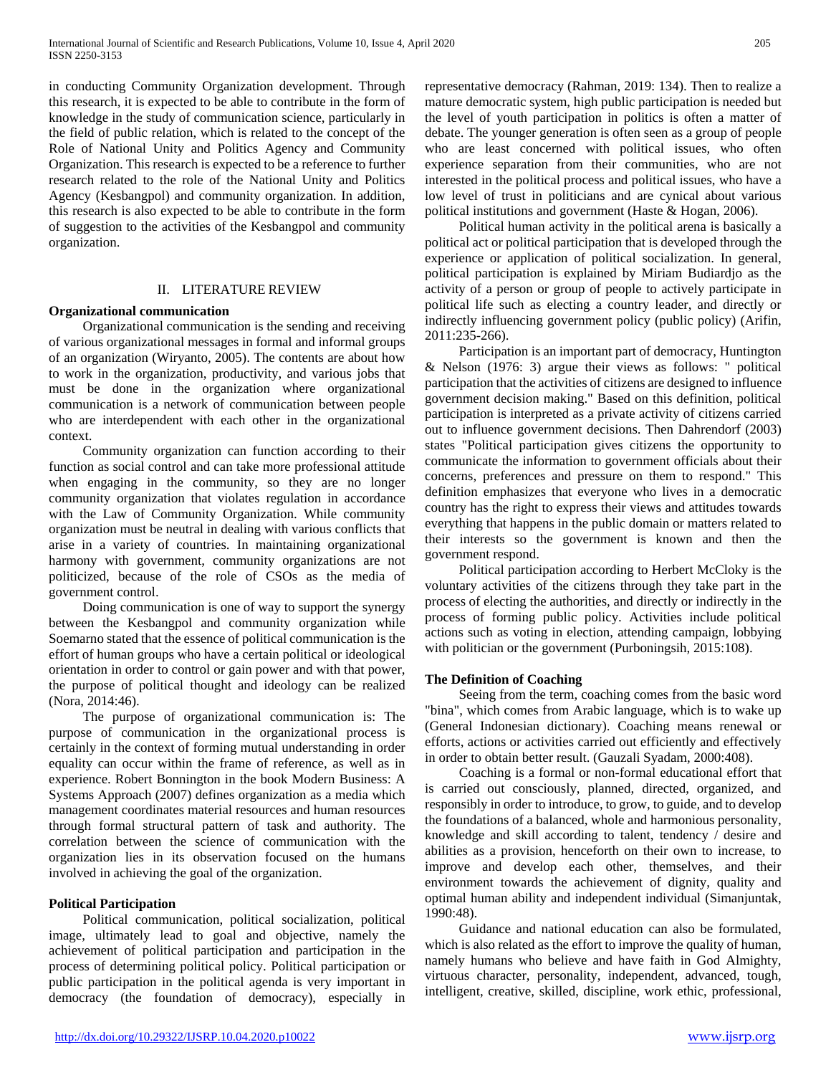in conducting Community Organization development. Through this research, it is expected to be able to contribute in the form of knowledge in the study of communication science, particularly in the field of public relation, which is related to the concept of the Role of National Unity and Politics Agency and Community Organization. This research is expected to be a reference to further research related to the role of the National Unity and Politics Agency (Kesbangpol) and community organization. In addition, this research is also expected to be able to contribute in the form of suggestion to the activities of the Kesbangpol and community organization.

## II. LITERATURE REVIEW

## **Organizational communication**

 Organizational communication is the sending and receiving of various organizational messages in formal and informal groups of an organization (Wiryanto, 2005). The contents are about how to work in the organization, productivity, and various jobs that must be done in the organization where organizational communication is a network of communication between people who are interdependent with each other in the organizational context.

 Community organization can function according to their function as social control and can take more professional attitude when engaging in the community, so they are no longer community organization that violates regulation in accordance with the Law of Community Organization. While community organization must be neutral in dealing with various conflicts that arise in a variety of countries. In maintaining organizational harmony with government, community organizations are not politicized, because of the role of CSOs as the media of government control.

 Doing communication is one of way to support the synergy between the Kesbangpol and community organization while Soemarno stated that the essence of political communication is the effort of human groups who have a certain political or ideological orientation in order to control or gain power and with that power, the purpose of political thought and ideology can be realized (Nora, 2014:46).

 The purpose of organizational communication is: The purpose of communication in the organizational process is certainly in the context of forming mutual understanding in order equality can occur within the frame of reference, as well as in experience. Robert Bonnington in the book Modern Business: A Systems Approach (2007) defines organization as a media which management coordinates material resources and human resources through formal structural pattern of task and authority. The correlation between the science of communication with the organization lies in its observation focused on the humans involved in achieving the goal of the organization.

## **Political Participation**

 Political communication, political socialization, political image, ultimately lead to goal and objective, namely the achievement of political participation and participation in the process of determining political policy. Political participation or public participation in the political agenda is very important in democracy (the foundation of democracy), especially in representative democracy (Rahman, 2019: 134). Then to realize a mature democratic system, high public participation is needed but the level of youth participation in politics is often a matter of debate. The younger generation is often seen as a group of people who are least concerned with political issues, who often experience separation from their communities, who are not interested in the political process and political issues, who have a low level of trust in politicians and are cynical about various political institutions and government (Haste & Hogan, 2006).

 Political human activity in the political arena is basically a political act or political participation that is developed through the experience or application of political socialization. In general, political participation is explained by Miriam Budiardjo as the activity of a person or group of people to actively participate in political life such as electing a country leader, and directly or indirectly influencing government policy (public policy) (Arifin, 2011:235-266).

 Participation is an important part of democracy, Huntington & Nelson (1976: 3) argue their views as follows: " political participation that the activities of citizens are designed to influence government decision making." Based on this definition, political participation is interpreted as a private activity of citizens carried out to influence government decisions. Then Dahrendorf (2003) states "Political participation gives citizens the opportunity to communicate the information to government officials about their concerns, preferences and pressure on them to respond." This definition emphasizes that everyone who lives in a democratic country has the right to express their views and attitudes towards everything that happens in the public domain or matters related to their interests so the government is known and then the government respond.

 Political participation according to Herbert McCloky is the voluntary activities of the citizens through they take part in the process of electing the authorities, and directly or indirectly in the process of forming public policy. Activities include political actions such as voting in election, attending campaign, lobbying with politician or the government (Purboningsih, 2015:108).

## **The Definition of Coaching**

 Seeing from the term, coaching comes from the basic word "bina", which comes from Arabic language, which is to wake up (General Indonesian dictionary). Coaching means renewal or efforts, actions or activities carried out efficiently and effectively in order to obtain better result. (Gauzali Syadam, 2000:408).

 Coaching is a formal or non-formal educational effort that is carried out consciously, planned, directed, organized, and responsibly in order to introduce, to grow, to guide, and to develop the foundations of a balanced, whole and harmonious personality, knowledge and skill according to talent, tendency / desire and abilities as a provision, henceforth on their own to increase, to improve and develop each other, themselves, and their environment towards the achievement of dignity, quality and optimal human ability and independent individual (Simanjuntak, 1990:48).

 Guidance and national education can also be formulated, which is also related as the effort to improve the quality of human, namely humans who believe and have faith in God Almighty, virtuous character, personality, independent, advanced, tough, intelligent, creative, skilled, discipline, work ethic, professional,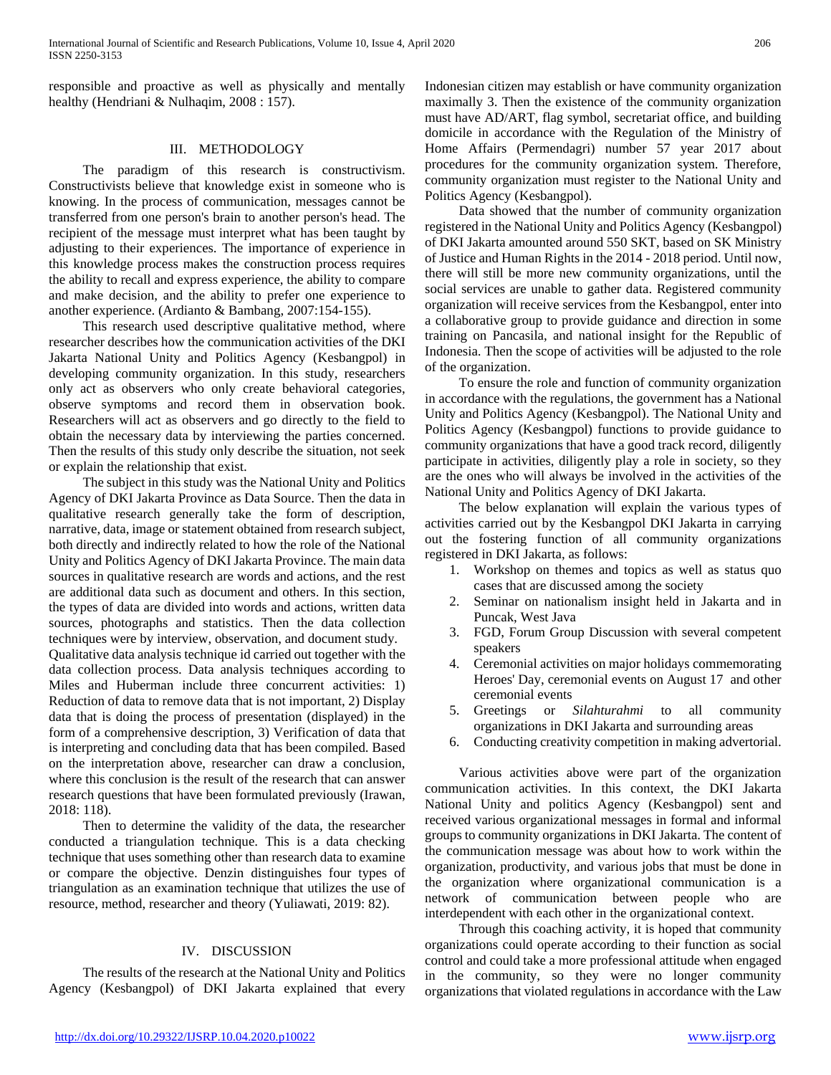responsible and proactive as well as physically and mentally healthy (Hendriani & Nulhaqim, 2008 : 157).

## III. METHODOLOGY

 The paradigm of this research is constructivism. Constructivists believe that knowledge exist in someone who is knowing. In the process of communication, messages cannot be transferred from one person's brain to another person's head. The recipient of the message must interpret what has been taught by adjusting to their experiences. The importance of experience in this knowledge process makes the construction process requires the ability to recall and express experience, the ability to compare and make decision, and the ability to prefer one experience to another experience. (Ardianto & Bambang, 2007:154-155).

 This research used descriptive qualitative method, where researcher describes how the communication activities of the DKI Jakarta National Unity and Politics Agency (Kesbangpol) in developing community organization. In this study, researchers only act as observers who only create behavioral categories, observe symptoms and record them in observation book. Researchers will act as observers and go directly to the field to obtain the necessary data by interviewing the parties concerned. Then the results of this study only describe the situation, not seek or explain the relationship that exist.

 The subject in this study was the National Unity and Politics Agency of DKI Jakarta Province as Data Source. Then the data in qualitative research generally take the form of description, narrative, data, image or statement obtained from research subject, both directly and indirectly related to how the role of the National Unity and Politics Agency of DKI Jakarta Province. The main data sources in qualitative research are words and actions, and the rest are additional data such as document and others. In this section, the types of data are divided into words and actions, written data sources, photographs and statistics. Then the data collection techniques were by interview, observation, and document study.

Qualitative data analysis technique id carried out together with the data collection process. Data analysis techniques according to Miles and Huberman include three concurrent activities: 1) Reduction of data to remove data that is not important, 2) Display data that is doing the process of presentation (displayed) in the form of a comprehensive description, 3) Verification of data that is interpreting and concluding data that has been compiled. Based on the interpretation above, researcher can draw a conclusion, where this conclusion is the result of the research that can answer research questions that have been formulated previously (Irawan, 2018: 118).

 Then to determine the validity of the data, the researcher conducted a triangulation technique. This is a data checking technique that uses something other than research data to examine or compare the objective. Denzin distinguishes four types of triangulation as an examination technique that utilizes the use of resource, method, researcher and theory (Yuliawati, 2019: 82).

# IV. DISCUSSION

 The results of the research at the National Unity and Politics Agency (Kesbangpol) of DKI Jakarta explained that every

Indonesian citizen may establish or have community organization maximally 3. Then the existence of the community organization must have AD/ART, flag symbol, secretariat office, and building domicile in accordance with the Regulation of the Ministry of Home Affairs (Permendagri) number 57 year 2017 about procedures for the community organization system. Therefore, community organization must register to the National Unity and Politics Agency (Kesbangpol).

 Data showed that the number of community organization registered in the National Unity and Politics Agency (Kesbangpol) of DKI Jakarta amounted around 550 SKT, based on SK Ministry of Justice and Human Rights in the 2014 - 2018 period. Until now, there will still be more new community organizations, until the social services are unable to gather data. Registered community organization will receive services from the Kesbangpol, enter into a collaborative group to provide guidance and direction in some training on Pancasila, and national insight for the Republic of Indonesia. Then the scope of activities will be adjusted to the role of the organization.

 To ensure the role and function of community organization in accordance with the regulations, the government has a National Unity and Politics Agency (Kesbangpol). The National Unity and Politics Agency (Kesbangpol) functions to provide guidance to community organizations that have a good track record, diligently participate in activities, diligently play a role in society, so they are the ones who will always be involved in the activities of the National Unity and Politics Agency of DKI Jakarta.

 The below explanation will explain the various types of activities carried out by the Kesbangpol DKI Jakarta in carrying out the fostering function of all community organizations registered in DKI Jakarta, as follows:

- 1. Workshop on themes and topics as well as status quo cases that are discussed among the society
- 2. Seminar on nationalism insight held in Jakarta and in Puncak, West Java
- 3. FGD, Forum Group Discussion with several competent speakers
- 4. Ceremonial activities on major holidays commemorating Heroes' Day, ceremonial events on August 17 and other ceremonial events
- 5. Greetings or *Silahturahmi* to all community organizations in DKI Jakarta and surrounding areas
- 6. Conducting creativity competition in making advertorial.

 Various activities above were part of the organization communication activities. In this context, the DKI Jakarta National Unity and politics Agency (Kesbangpol) sent and received various organizational messages in formal and informal groups to community organizations in DKI Jakarta. The content of the communication message was about how to work within the organization, productivity, and various jobs that must be done in the organization where organizational communication is a network of communication between people who are interdependent with each other in the organizational context.

 Through this coaching activity, it is hoped that community organizations could operate according to their function as social control and could take a more professional attitude when engaged in the community, so they were no longer community organizations that violated regulations in accordance with the Law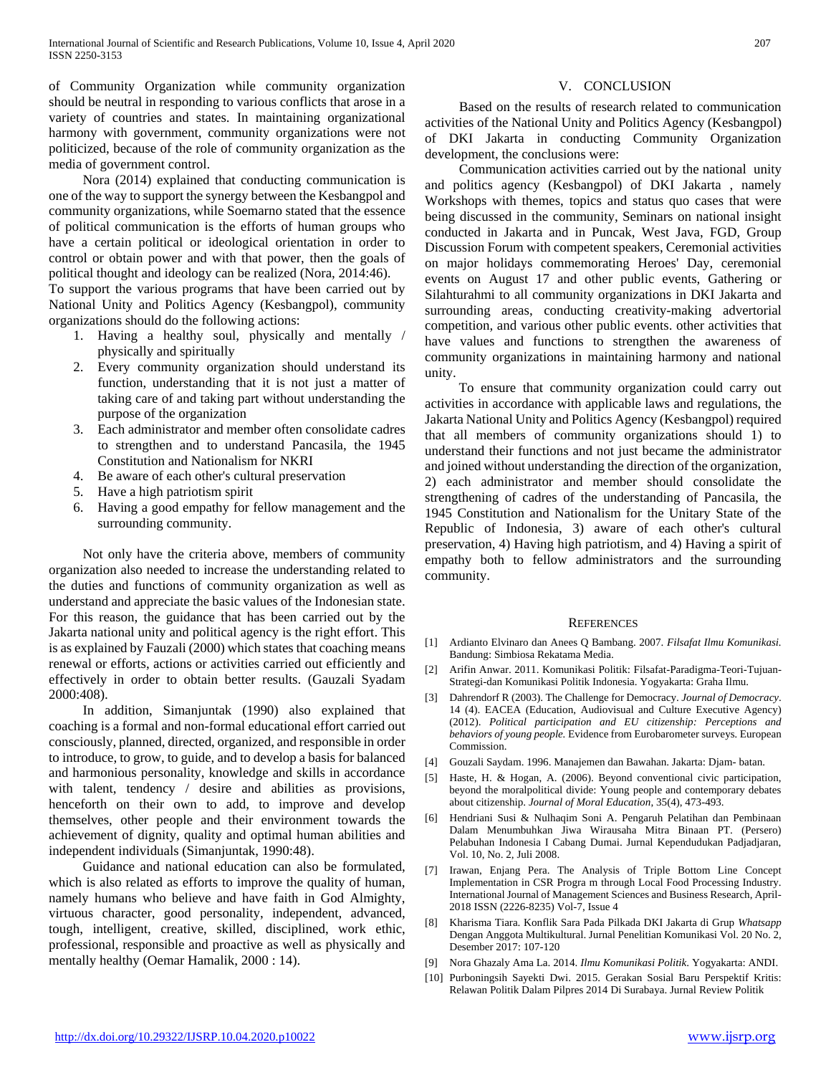of Community Organization while community organization should be neutral in responding to various conflicts that arose in a variety of countries and states. In maintaining organizational harmony with government, community organizations were not politicized, because of the role of community organization as the media of government control.

 Nora (2014) explained that conducting communication is one of the way to support the synergy between the Kesbangpol and community organizations, while Soemarno stated that the essence of political communication is the efforts of human groups who have a certain political or ideological orientation in order to control or obtain power and with that power, then the goals of political thought and ideology can be realized (Nora, 2014:46).

To support the various programs that have been carried out by National Unity and Politics Agency (Kesbangpol), community organizations should do the following actions:

- 1. Having a healthy soul, physically and mentally / physically and spiritually
- 2. Every community organization should understand its function, understanding that it is not just a matter of taking care of and taking part without understanding the purpose of the organization
- 3. Each administrator and member often consolidate cadres to strengthen and to understand Pancasila, the 1945 Constitution and Nationalism for NKRI
- 4. Be aware of each other's cultural preservation
- 5. Have a high patriotism spirit
- 6. Having a good empathy for fellow management and the surrounding community.

 Not only have the criteria above, members of community organization also needed to increase the understanding related to the duties and functions of community organization as well as understand and appreciate the basic values of the Indonesian state. For this reason, the guidance that has been carried out by the Jakarta national unity and political agency is the right effort. This is as explained by Fauzali (2000) which states that coaching means renewal or efforts, actions or activities carried out efficiently and effectively in order to obtain better results. (Gauzali Syadam 2000:408).

 In addition, Simanjuntak (1990) also explained that coaching is a formal and non-formal educational effort carried out consciously, planned, directed, organized, and responsible in order to introduce, to grow, to guide, and to develop a basis for balanced and harmonious personality, knowledge and skills in accordance with talent, tendency / desire and abilities as provisions, henceforth on their own to add, to improve and develop themselves, other people and their environment towards the achievement of dignity, quality and optimal human abilities and independent individuals (Simanjuntak, 1990:48).

 Guidance and national education can also be formulated, which is also related as efforts to improve the quality of human, namely humans who believe and have faith in God Almighty, virtuous character, good personality, independent, advanced, tough, intelligent, creative, skilled, disciplined, work ethic, professional, responsible and proactive as well as physically and mentally healthy (Oemar Hamalik, 2000 : 14).

#### V. CONCLUSION

 Based on the results of research related to communication activities of the National Unity and Politics Agency (Kesbangpol) of DKI Jakarta in conducting Community Organization development, the conclusions were:

 Communication activities carried out by the national unity and politics agency (Kesbangpol) of DKI Jakarta , namely Workshops with themes, topics and status quo cases that were being discussed in the community, Seminars on national insight conducted in Jakarta and in Puncak, West Java, FGD, Group Discussion Forum with competent speakers, Ceremonial activities on major holidays commemorating Heroes' Day, ceremonial events on August 17 and other public events, Gathering or Silahturahmi to all community organizations in DKI Jakarta and surrounding areas, conducting creativity-making advertorial competition, and various other public events. other activities that have values and functions to strengthen the awareness of community organizations in maintaining harmony and national unity.

 To ensure that community organization could carry out activities in accordance with applicable laws and regulations, the Jakarta National Unity and Politics Agency (Kesbangpol) required that all members of community organizations should 1) to understand their functions and not just became the administrator and joined without understanding the direction of the organization, 2) each administrator and member should consolidate the strengthening of cadres of the understanding of Pancasila, the 1945 Constitution and Nationalism for the Unitary State of the Republic of Indonesia, 3) aware of each other's cultural preservation, 4) Having high patriotism, and 4) Having a spirit of empathy both to fellow administrators and the surrounding community.

#### **REFERENCES**

- [1] Ardianto Elvinaro dan Anees Q Bambang. 2007. *Filsafat Ilmu Komunikasi.* Bandung: Simbiosa Rekatama Media.
- [2] Arifin Anwar. 2011. Komunikasi Politik: Filsafat-Paradigma-Teori-Tujuan-Strategi-dan Komunikasi Politik Indonesia. Yogyakarta: Graha Ilmu.
- [3] Dahrendorf R (2003). The Challenge for Democracy. *Journal of Democracy*. 14 (4). EACEA (Education, Audiovisual and Culture Executive Agency) (2012). *Political participation and EU citizenship: Perceptions and behaviors of young people.* Evidence from Eurobarometer surveys*.* European Commission.
- [4] Gouzali Saydam. 1996. Manajemen dan Bawahan. Jakarta: Djam- batan.
- [5] Haste, H. & Hogan, A. (2006). Beyond conventional civic participation, beyond the moralpolitical divide: Young people and contemporary debates about citizenship. *Journal of Moral Education*, 35(4), 473-493.
- [6] Hendriani Susi & Nulhaqim Soni A. Pengaruh Pelatihan dan Pembinaan Dalam Menumbuhkan Jiwa Wirausaha Mitra Binaan PT. (Persero) Pelabuhan Indonesia I Cabang Dumai. Jurnal Kependudukan Padjadjaran, Vol. 10, No. 2, Juli 2008.
- [7] Irawan, Enjang Pera. The Analysis of Triple Bottom Line Concept Implementation in CSR Progra m through Local Food Processing Industry. International Journal of Management Sciences and Business Research, April-2018 ISSN (2226-8235) Vol-7, Issue 4
- [8] Kharisma Tiara. Konflik Sara Pada Pilkada DKI Jakarta di Grup *Whatsapp*  Dengan Anggota Multikultural. Jurnal Penelitian Komunikasi Vol. 20 No. 2, Desember 2017: 107-120
- [9] Nora Ghazaly Ama La. 2014. *Ilmu Komunikasi Politik*. Yogyakarta: ANDI.
- [10] Purboningsih Sayekti Dwi. 2015. Gerakan Sosial Baru Perspektif Kritis: Relawan Politik Dalam Pilpres 2014 Di Surabaya. Jurnal Review Politik